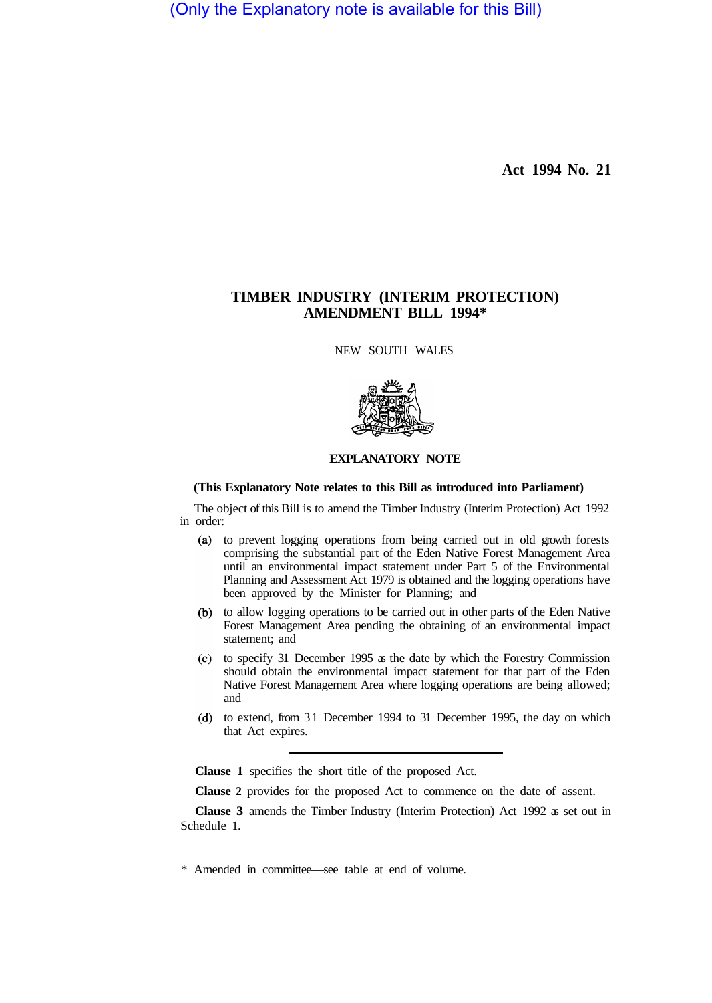(Only the Explanatory note is available for this Bill)

**Act 1994 No. 21** 

## **TIMBER INDUSTRY (INTERIM PROTECTION) AMENDMENT BILL 1994\***

NEW SOUTH WALES



## **EXPLANATORY NOTE**

## **(This Explanatory Note relates to this Bill as introduced into Parliament)**

The object of this Bill is to amend the Timber Industry (Interim Protection) Act 1992 in order:

- to prevent logging operations from being carried out in old growth forests comprising the substantial part of the Eden Native Forest Management Area until an environmental impact statement under Part 5 of the Environmental Planning and Assessment Act 1979 is obtained and the logging operations have been approved by the Minister for Planning; and
- (b) to allow logging operations to be carried out in other parts of the Eden Native Forest Management Area pending the obtaining of an environmental impact statement; and
- $\alpha$  to specify 31 December 1995 as the date by which the Forestry Commission should obtain the environmental impact statement for that part of the Eden Native Forest Management Area where logging operations are being allowed; and
- (d) to extend, from 31 December 1994 to 31 December 1995, the day on which that Act expires.

**Clause 1** specifies the short title of the proposed Act.

**Clause 2** provides for the proposed Act to commence on the date of assent.

**Clause 3** amends the Timber Industry (Interim Protection) Act 1992 as set out in Schedule 1.

<sup>\*</sup> Amended in committee—see table at end of volume.